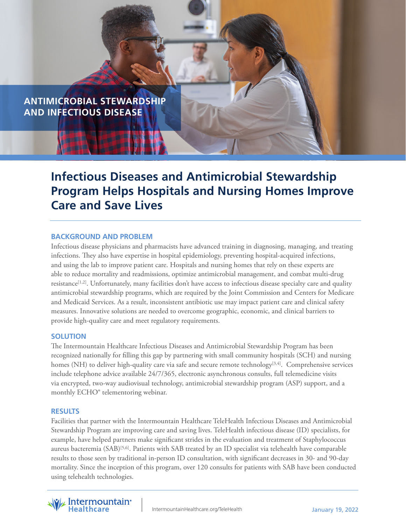

# **Infectious Diseases and Antimicrobial Stewardship Program Helps Hospitals and Nursing Homes Improve Care and Save Lives**

# **BACKGROUND AND PROBLEM**

Infectious disease physicians and pharmacists have advanced training in diagnosing, managing, and treating infections. They also have expertise in hospital epidemiology, preventing hospital-acquired infections, and using the lab to improve patient care. Hospitals and nursing homes that rely on these experts are able to reduce mortality and readmissions, optimize antimicrobial management, and combat multi-drug resistance<sup>[1,2]</sup>. Unfortunately, many facilities don't have access to infectious disease specialty care and quality antimicrobial stewardship programs, which are required by the Joint Commission and Centers for Medicare and Medicaid Services. As a result, inconsistent antibiotic use may impact patient care and clinical safety measures. Innovative solutions are needed to overcome geographic, economic, and clinical barriers to provide high-quality care and meet regulatory requirements.

## **SOLUTION**

The Intermountain Healthcare Infectious Diseases and Antimicrobial Stewardship Program has been recognized nationally for filling this gap by partnering with small community hospitals (SCH) and nursing homes (NH) to deliver high-quality care via safe and secure remote technology<sup>[3,4]</sup>. Comprehensive services include telephone advice available 24/7/365, electronic asynchronous consults, full telemedicine visits via encrypted, two-way audiovisual technology, antimicrobial stewardship program (ASP) support, and a monthly ECHO® telementoring webinar.

## **RESULTS**

Facilities that partner with the Intermountain Healthcare TeleHealth Infectious Diseases and Antimicrobial Stewardship Program are improving care and saving lives. TeleHealth infectious disease (ID) specialists, for example, have helped partners make significant strides in the evaluation and treatment of Staphylococcus aureus bacteremia (SAB)[5,6]. Patients with SAB treated by an ID specialist via telehealth have comparable results to those seen by traditional in-person ID consultation, with significant decreases in 30- and 90-day mortality. Since the inception of this program, over 120 consults for patients with SAB have been conducted using telehealth technologies.

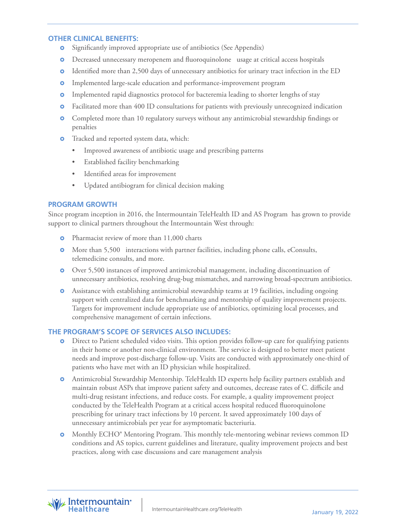## **OTHER CLINICAL BENEFITS:**

- Significantly improved appropriate use of antibiotics (See Appendix)  $\bullet$
- Decreased unnecessary meropenem and fluoroquinolone usage at critical access hospitals
- Identified more than 2,500 days of unnecessary antibiotics for urinary tract infection in the ED  $\bullet$
- **o** Implemented large-scale education and performance-improvement program
- **o** Implemented rapid diagnostics protocol for bacteremia leading to shorter lengths of stay
- **o** Facilitated more than 400 ID consultations for patients with previously unrecognized indication
- **O** Completed more than 10 regulatory surveys without any antimicrobial stewardship findings or penalties
- **o** Tracked and reported system data, which:
	- Improved awareness of antibiotic usage and prescribing patterns
	- Established facility benchmarking
	- Identified areas for improvement
	- Updated antibiogram for clinical decision making

# **PROGRAM GROWTH**

Since program inception in 2016, the Intermountain TeleHealth ID and AS Program has grown to provide support to clinical partners throughout the Intermountain West through:

- **o** Pharmacist review of more than 11,000 charts
- **O** More than 5,500 interactions with partner facilities, including phone calls, eConsults, telemedicine consults, and more.
- Over 5,500 instances of improved antimicrobial management, including discontinuation of unnecessary antibiotics, resolving drug-bug mismatches, and narrowing broad-spectrum antibiotics.
- Assistance with establishing antimicrobial stewardship teams at 19 facilities, including ongoing support with centralized data for benchmarking and mentorship of quality improvement projects. Targets for improvement include appropriate use of antibiotics, optimizing local processes, and comprehensive management of certain infections.

# **THE PROGRAM'S SCOPE OF SERVICES ALSO INCLUDES:**

- Direct to Patient scheduled video visits. This option provides follow-up care for qualifying patients in their home or another non-clinical environment. The service is designed to better meet patient needs and improve post-discharge follow-up. Visits are conducted with approximately one-third of patients who have met with an ID physician while hospitalized.
- Antimicrobial Stewardship Mentorship. TeleHealth ID experts help facility partners establish and maintain robust ASPs that improve patient safety and outcomes, decrease rates of C. difficile and multi-drug resistant infections, and reduce costs. For example, a quality improvement project conducted by the TeleHealth Program at a critical access hospital reduced fluoroquinolone prescribing for urinary tract infections by 10 percent. It saved approximately 100 days of unnecessary antimicrobials per year for asymptomatic bacteriuria.
- Monthly ECHO® Mentoring Program. This monthly tele-mentoring webinar reviews common ID conditions and AS topics, current guidelines and literature, quality improvement projects and best practices, along with case discussions and care management analysis

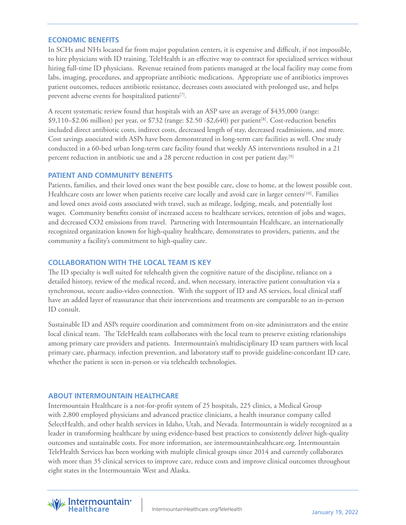## **ECONOMIC BENEFITS**

In SCHs and NHs located far from major population centers, it is expensive and difficult, if not impossible, to hire physicians with ID training. TeleHealth is an effective way to contract for specialized services without hiring full-time ID physicians. Revenue retained from patients managed at the local facility may come from labs, imaging, procedures, and appropriate antibiotic medications. Appropriate use of antibiotics improves patient outcomes, reduces antibiotic resistance, decreases costs associated with prolonged use, and helps prevent adverse events for hospitalized patients<sup>[7]</sup>.

A recent systematic review found that hospitals with an ASP save an average of \$435,000 (range:  $$9,110–$2.06 million$  per year, or  $$732$  (range:  $$2.50 - $2,640$ ) per patient<sup>[8]</sup>. Cost-reduction benefits included direct antibiotic costs, indirect costs, decreased length of stay, decreased readmissions, and more. Cost savings associated with ASPs have been demonstrated in long-term care facilities as well. One study conducted in a 60-bed urban long-term care facility found that weekly AS interventions resulted in a 21 percent reduction in antibiotic use and a 28 percent reduction in cost per patient day.[9]

## **PATIENT AND COMMUNITY BENEFITS**

Patients, families, and their loved ones want the best possible care, close to home, at the lowest possible cost. Healthcare costs are lower when patients receive care locally and avoid care in larger centers[10]. Families and loved ones avoid costs associated with travel, such as mileage, lodging, meals, and potentially lost wages. Community benefits consist of increased access to healthcare services, retention of jobs and wages, and decreased CO2 emissions from travel. Partnering with Intermountain Healthcare, an internationally recognized organization known for high-quality healthcare, demonstrates to providers, patients, and the community a facility's commitment to high-quality care.

# **COLLABORATION WITH THE LOCAL TEAM IS KEY**

The ID specialty is well suited for telehealth given the cognitive nature of the discipline, reliance on a detailed history, review of the medical record, and, when necessary, interactive patient consultation via a synchronous, secure audio-video connection. With the support of ID and AS services, local clinical staff have an added layer of reassurance that their interventions and treatments are comparable to an in-person ID consult.

Sustainable ID and ASPs require coordination and commitment from on-site administrators and the entire local clinical team. The TeleHealth team collaborates with the local team to preserve existing relationships among primary care providers and patients. Intermountain's multidisciplinary ID team partners with local primary care, pharmacy, infection prevention, and laboratory staff to provide guideline-concordant ID care, whether the patient is seen in-person or via telehealth technologies.

## **ABOUT INTERMOUNTAIN HEALTHCARE**

Intermountain Healthcare is a not-for-profit system of 25 hospitals, 225 clinics, a Medical Group with 2,800 employed physicians and advanced practice clinicians, a health insurance company called SelectHealth, and other health services in Idaho, Utah, and Nevada. Intermountain is widely recognized as a leader in transforming healthcare by using evidence-based best practices to consistently deliver high-quality outcomes and sustainable costs. For more information, see intermountainhealthcare.org. Intermountain TeleHealth Services has been working with multiple clinical groups since 2014 and currently collaborates with more than 35 clinical services to improve care, reduce costs and improve clinical outcomes throughout eight states in the Intermountain West and Alaska.

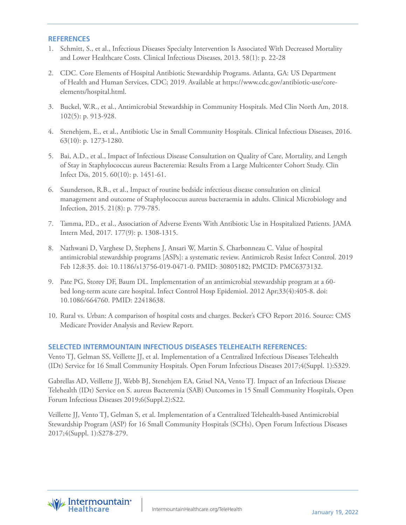#### **REFERENCES**

- 1. Schmitt, S., et al., Infectious Diseases Specialty Intervention Is Associated With Decreased Mortality and Lower Healthcare Costs. Clinical Infectious Diseases, 2013. 58(1): p. 22-28
- 2. CDC. Core Elements of Hospital Antibiotic Stewardship Programs. Atlanta, GA: US Department of Health and Human Services, CDC; 2019. Available at https://www.cdc.gov/antibiotic-use/coreelements/hospital.html.
- 3. Buckel, W.R., et al., Antimicrobial Stewardship in Community Hospitals. Med Clin North Am, 2018. 102(5): p. 913-928.
- 4. Stenehjem, E., et al., Antibiotic Use in Small Community Hospitals. Clinical Infectious Diseases, 2016. 63(10): p. 1273-1280.
- 5. Bai, A.D., et al., Impact of Infectious Disease Consultation on Quality of Care, Mortality, and Length of Stay in Staphylococcus aureus Bacteremia: Results From a Large Multicenter Cohort Study. Clin Infect Dis, 2015. 60(10): p. 1451-61.
- 6. Saunderson, R.B., et al., Impact of routine bedside infectious disease consultation on clinical management and outcome of Staphylococcus aureus bacteraemia in adults. Clinical Microbiology and Infection, 2015. 21(8): p. 779-785.
- 7. Tamma, P.D., et al., Association of Adverse Events With Antibiotic Use in Hospitalized Patients. JAMA Intern Med, 2017. 177(9): p. 1308-1315.
- 8. Nathwani D, Varghese D, Stephens J, Ansari W, Martin S, Charbonneau C. Value of hospital antimicrobial stewardship programs [ASPs]: a systematic review. Antimicrob Resist Infect Control. 2019 Feb 12;8:35. doi: 10.1186/s13756-019-0471-0. PMID: 30805182; PMCID: PMC6373132.
- 9. Pate PG, Storey DF, Baum DL. Implementation of an antimicrobial stewardship program at a 60 bed long-term acute care hospital. Infect Control Hosp Epidemiol. 2012 Apr;33(4):405-8. doi: 10.1086/664760. PMID: 22418638.
- 10. Rural vs. Urban: A comparison of hospital costs and charges. Becker's CFO Report 2016. Source: CMS Medicare Provider Analysis and Review Report.

## **SELECTED INTERMOUNTAIN INFECTIOUS DISEASES TELEHEALTH REFERENCES:**

Vento TJ, Gelman SS, Veillette JJ, et al. Implementation of a Centralized Infectious Diseases Telehealth (IDt) Service for 16 Small Community Hospitals. Open Forum Infectious Diseases 2017;4(Suppl. 1):S329.

Gabrellas AD, Veillette JJ, Webb BJ, Stenehjem EA, Grisel NA, Vento TJ. Impact of an Infectious Disease Telehealth (IDt) Service on S. aureus Bacteremia (SAB) Outcomes in 15 Small Community Hospitals, Open Forum Infectious Diseases 2019;6(Suppl.2):S22.

Veillette JJ, Vento TJ, Gelman S, et al. Implementation of a Centralized Telehealth-based Antimicrobial Stewardship Program (ASP) for 16 Small Community Hospitals (SCHs), Open Forum Infectious Diseases 2017;4(Suppl. 1):S278-279.

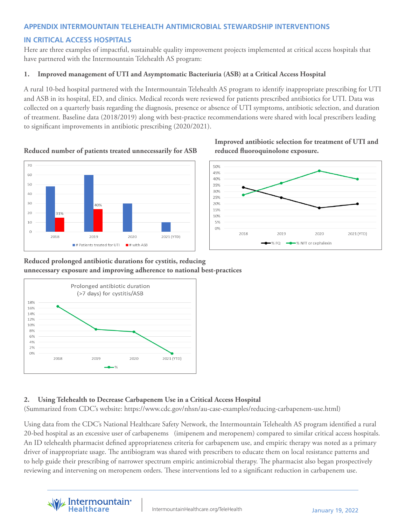# **APPENDIX INTERMOUNTAIN TELEHEALTH ANTIMICROBIAL STEWARDSHIP INTERVENTIONS**

# **IN CRITICAL ACCESS HOSPITALS**

Here are three examples of impactful, sustainable quality improvement projects implemented at critical access hospitals that have partnered with the Intermountain Telehealth AS program:

## **1. Improved management of UTI and Asymptomatic Bacteriuria (ASB) at a Critical Access Hospital**

A rural 10-bed hospital partnered with the Intermountain Telehealth AS program to identify inappropriate prescribing for UTI and ASB in its hospital, ED, and clinics. Medical records were reviewed for patients prescribed antibiotics for UTI. Data was collected on a quarterly basis regarding the diagnosis, presence or absence of UTI symptoms, antibiotic selection, and duration of treatment. Baseline data (2018/2019) along with best-practice recommendations were shared with local prescribers leading to significant improvements in antibiotic prescribing (2020/2021).



# **Reduced number of patients treated unnecessarily for ASB reduced fluoroquinolone exposure.**

 **Improved antibiotic selection for treatment of UTI and** 



# **Reduced prolonged antibiotic durations for cystitis, reducing unnecessary exposure and improving adherence to national best-practices**



# **2. Using Telehealth to Decrease Carbapenem Use in a Critical Access Hospital**

(Summarized from CDC's website: https://www.cdc.gov/nhsn/au-case-examples/reducing-carbapenem-use.html)

Using data from the CDC's National Healthcare Safety Network, the Intermountain Telehealth AS program identified a rural 20-bed hospital as an excessive user of carbapenems (imipenem and meropenem) compared to similar critical access hospitals. An ID telehealth pharmacist defined appropriateness criteria for carbapenem use, and empiric therapy was noted as a primary driver of inappropriate usage. The antibiogram was shared with prescribers to educate them on local resistance patterns and to help guide their prescribing of narrower spectrum empiric antimicrobial therapy. The pharmacist also began prospectively reviewing and intervening on meropenem orders. These interventions led to a significant reduction in carbapenem use.